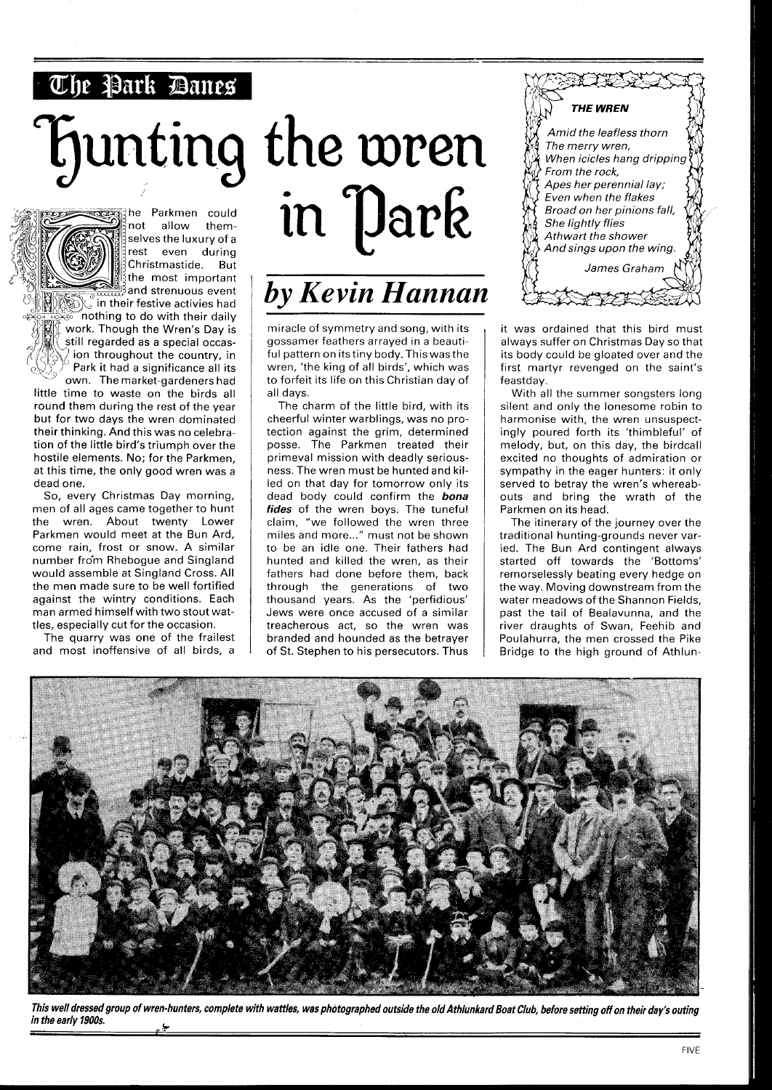## The Park Danes

## **Funting** the wren



he Parkmen could not allow themselves the luxury of a rest even during Christmastide. But the most important  $\frac{5}{2}$ and strenuous event **Solution** in their festive activies had

 $\int$ nothing to do with their daily work. Though the Wren's Day is still regarded as a special occasion throughout the country, in Park it had a significance all its

own. The market-gardeners had little time to waste on the birds all round them during the rest of the year but for two days the wren dominated their thinking. And this was no celebration of the little bird's triumph over the hostile elements. No; for the Parkmen, at this time, the only good wren was a dead one.

So, every Christmas Day morning, men of all ages came together to hunt the wren. About twenty Lower Parkmen would meet at the Bun Ard, come rain, frost or snow. A similar number fro\*m Rhebogue and Singland would assemble at Singland Cross. All the men made sure to be well fortified against the wintry conditions. Each man armed himself with two stout wattles, especially cut for the occasion.

The quarry was one of the frailest and most inoffensive of all birds, a



miracle of symmetry and song, with its gossamer feathers arrayed in a beautiful pattern on itstiny body. Thiswasthe wren, 'the king of all birds', which was to forfeit its life on this Christian day of all days.

The charm of the little bird, with its cheerful winter warblings, was no protection against the grim, determined posse. The Parkmen treated their primeval mission with deadly seriousness. The wren must be hunted and killed on that day for tomorrow only its dead body could confirm the **bona fides** of the wren boys. The tuneful claim, "we followed the wren three miles and more..." must not be shown to be an idle one. Their fathers had hunted and killed the wren, as their fathers had done before them, back through the generations of two thousand years. As the 'perfidious' Jews were once accused of a similar treacherous act, so the wren was branded and hounded as the betrayer of St. Stephen to his persecutors. Thus



it was ordained that this bird must always suffer on Christmas Day so that its body could be gloated over and the first martyr revenged on the saint's feastday.

With all the summer songsters long silent and only the lonesome robin to harmonise with, the wren unsuspectingly poured forth its 'thimbleful' of melody, but, on this day, the birdcall excited no thoughts of admiration or sympathy in the eager hunters: it only served to betray the wren's whereabouts and bring the wrath of the Parkmen on its head.

The itinerary of the journey over the traditional hunting-grounds never varied. The Bun Ard contingent always started off towards the 'Bottoms' remorselessly beating every hedge on the way. Moving downstream from the water meadows of the Shannon Fields, past the tail of Bealavunna, and the river draughts of Swan, Feehib and Poulahurra, the men crossed the Pike Bridge to the high ground of Athlun-



**This well dressed group of wren-hunters, complete with wattles, was photographed outside the old Athlunkard Boat Club, before setting off on their day's outing**  in the early 1900s.